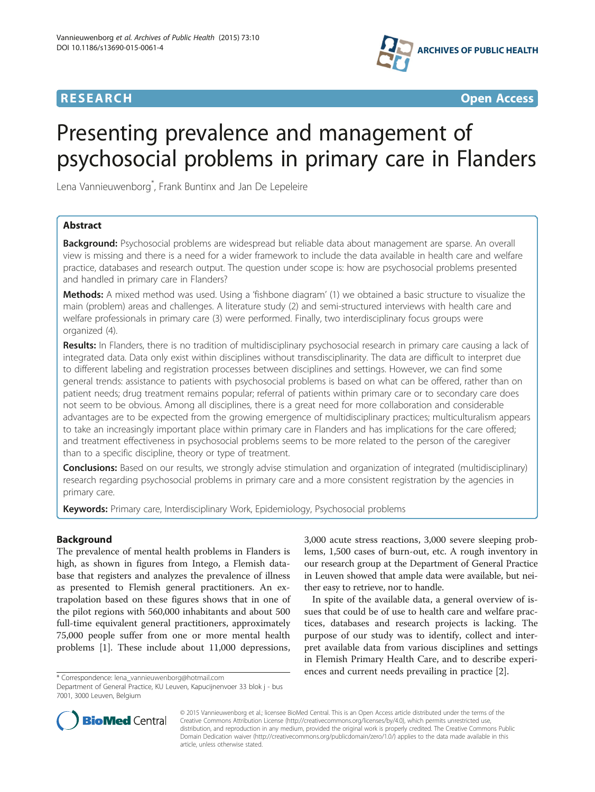# **RESEARCH RESEARCH** *CHECK CHECK CHECK CHECK CHECK CHECK CHECK CHECK CHECK CHECK CHECK CHECK CHECK CHECK CHECK CHECK CHECK CHECK CHECK CHECK CHECK CHECK CHECK CHECK CHECK CHECK CHECK CHECK CHECK CHECK CHECK CHECK CHECK*



# Presenting prevalence and management of psychosocial problems in primary care in Flanders

Lena Vannieuwenborg\* , Frank Buntinx and Jan De Lepeleire

# Abstract

Background: Psychosocial problems are widespread but reliable data about management are sparse. An overall view is missing and there is a need for a wider framework to include the data available in health care and welfare practice, databases and research output. The question under scope is: how are psychosocial problems presented and handled in primary care in Flanders?

Methods: A mixed method was used. Using a 'fishbone diagram' (1) we obtained a basic structure to visualize the main (problem) areas and challenges. A literature study (2) and semi-structured interviews with health care and welfare professionals in primary care (3) were performed. Finally, two interdisciplinary focus groups were organized (4).

Results: In Flanders, there is no tradition of multidisciplinary psychosocial research in primary care causing a lack of integrated data. Data only exist within disciplines without transdisciplinarity. The data are difficult to interpret due to different labeling and registration processes between disciplines and settings. However, we can find some general trends: assistance to patients with psychosocial problems is based on what can be offered, rather than on patient needs; drug treatment remains popular; referral of patients within primary care or to secondary care does not seem to be obvious. Among all disciplines, there is a great need for more collaboration and considerable advantages are to be expected from the growing emergence of multidisciplinary practices; multiculturalism appears to take an increasingly important place within primary care in Flanders and has implications for the care offered; and treatment effectiveness in psychosocial problems seems to be more related to the person of the caregiver than to a specific discipline, theory or type of treatment.

**Conclusions:** Based on our results, we strongly advise stimulation and organization of integrated (multidisciplinary) research regarding psychosocial problems in primary care and a more consistent registration by the agencies in primary care.

Keywords: Primary care, Interdisciplinary Work, Epidemiology, Psychosocial problems

# Background

The prevalence of mental health problems in Flanders is high, as shown in figures from Intego, a Flemish database that registers and analyzes the prevalence of illness as presented to Flemish general practitioners. An extrapolation based on these figures shows that in one of the pilot regions with 560,000 inhabitants and about 500 full-time equivalent general practitioners, approximately 75,000 people suffer from one or more mental health problems [[1\]](#page-5-0). These include about 11,000 depressions,

3,000 acute stress reactions, 3,000 severe sleeping problems, 1,500 cases of burn-out, etc. A rough inventory in our research group at the Department of General Practice in Leuven showed that ample data were available, but neither easy to retrieve, nor to handle.

In spite of the available data, a general overview of issues that could be of use to health care and welfare practices, databases and research projects is lacking. The purpose of our study was to identify, collect and interpret available data from various disciplines and settings in Flemish Primary Health Care, and to describe experiences and current needs prevailing in practice [\[2](#page-5-0)]. \* Correspondence: [lena\\_vannieuwenborg@hotmail.com](mailto:lena_vannieuwenborg@hotmail.com)



© 2015 Vannieuwenborg et al.; licensee BioMed Central. This is an Open Access article distributed under the terms of the Creative Commons Attribution License (<http://creativecommons.org/licenses/by/4.0>), which permits unrestricted use, distribution, and reproduction in any medium, provided the original work is properly credited. The Creative Commons Public Domain Dedication waiver [\(http://creativecommons.org/publicdomain/zero/1.0/\)](http://creativecommons.org/publicdomain/zero/1.0/) applies to the data made available in this article, unless otherwise stated.

Department of General Practice, KU Leuven, Kapucijnenvoer 33 blok j - bus 7001, 3000 Leuven, Belgium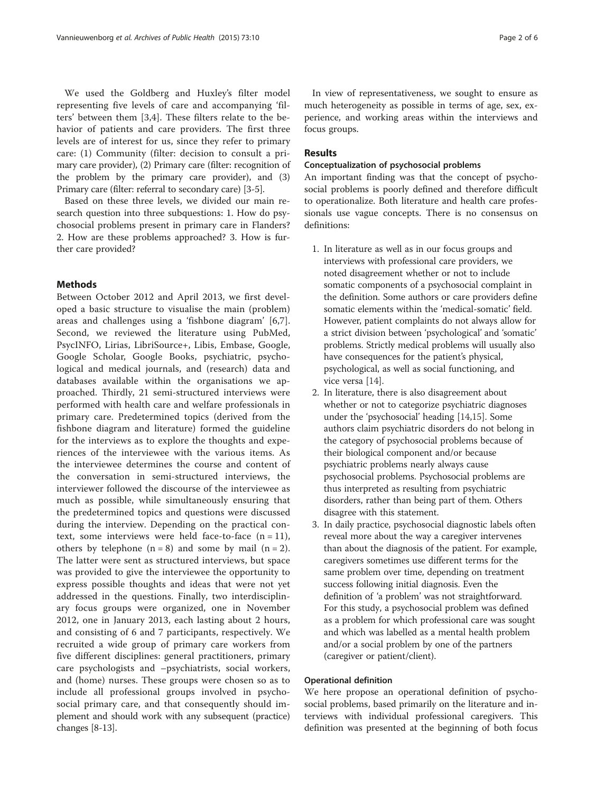We used the Goldberg and Huxley's filter model representing five levels of care and accompanying 'filters' between them [\[3](#page-5-0),[4\]](#page-5-0). These filters relate to the behavior of patients and care providers. The first three levels are of interest for us, since they refer to primary care: (1) Community (filter: decision to consult a primary care provider), (2) Primary care (filter: recognition of the problem by the primary care provider), and (3) Primary care (filter: referral to secondary care) [[3-5\]](#page-5-0).

Based on these three levels, we divided our main research question into three subquestions: 1. How do psychosocial problems present in primary care in Flanders? 2. How are these problems approached? 3. How is further care provided?

# Methods

Between October 2012 and April 2013, we first developed a basic structure to visualise the main (problem) areas and challenges using a 'fishbone diagram' [[6,7](#page-5-0)]. Second, we reviewed the literature using PubMed, PsycINFO, Lirias, LibriSource+, Libis, Embase, Google, Google Scholar, Google Books, psychiatric, psychological and medical journals, and (research) data and databases available within the organisations we approached. Thirdly, 21 semi-structured interviews were performed with health care and welfare professionals in primary care. Predetermined topics (derived from the fishbone diagram and literature) formed the guideline for the interviews as to explore the thoughts and experiences of the interviewee with the various items. As the interviewee determines the course and content of the conversation in semi-structured interviews, the interviewer followed the discourse of the interviewee as much as possible, while simultaneously ensuring that the predetermined topics and questions were discussed during the interview. Depending on the practical context, some interviews were held face-to-face  $(n = 11)$ , others by telephone  $(n = 8)$  and some by mail  $(n = 2)$ . The latter were sent as structured interviews, but space was provided to give the interviewee the opportunity to express possible thoughts and ideas that were not yet addressed in the questions. Finally, two interdisciplinary focus groups were organized, one in November 2012, one in January 2013, each lasting about 2 hours, and consisting of 6 and 7 participants, respectively. We recruited a wide group of primary care workers from five different disciplines: general practitioners, primary care psychologists and –psychiatrists, social workers, and (home) nurses. These groups were chosen so as to include all professional groups involved in psychosocial primary care, and that consequently should implement and should work with any subsequent (practice) changes [\[8-13](#page-5-0)].

In view of representativeness, we sought to ensure as much heterogeneity as possible in terms of age, sex, experience, and working areas within the interviews and focus groups.

# Results

### Conceptualization of psychosocial problems

An important finding was that the concept of psychosocial problems is poorly defined and therefore difficult to operationalize. Both literature and health care professionals use vague concepts. There is no consensus on definitions:

- 1. In literature as well as in our focus groups and interviews with professional care providers, we noted disagreement whether or not to include somatic components of a psychosocial complaint in the definition. Some authors or care providers define somatic elements within the 'medical-somatic' field. However, patient complaints do not always allow for a strict division between 'psychological' and 'somatic' problems. Strictly medical problems will usually also have consequences for the patient's physical, psychological, as well as social functioning, and vice versa [[14](#page-5-0)].
- 2. In literature, there is also disagreement about whether or not to categorize psychiatric diagnoses under the 'psychosocial' heading [[14,15](#page-5-0)]. Some authors claim psychiatric disorders do not belong in the category of psychosocial problems because of their biological component and/or because psychiatric problems nearly always cause psychosocial problems. Psychosocial problems are thus interpreted as resulting from psychiatric disorders, rather than being part of them. Others disagree with this statement.
- 3. In daily practice, psychosocial diagnostic labels often reveal more about the way a caregiver intervenes than about the diagnosis of the patient. For example, caregivers sometimes use different terms for the same problem over time, depending on treatment success following initial diagnosis. Even the definition of 'a problem' was not straightforward. For this study, a psychosocial problem was defined as a problem for which professional care was sought and which was labelled as a mental health problem and/or a social problem by one of the partners (caregiver or patient/client).

#### Operational definition

We here propose an operational definition of psychosocial problems, based primarily on the literature and interviews with individual professional caregivers. This definition was presented at the beginning of both focus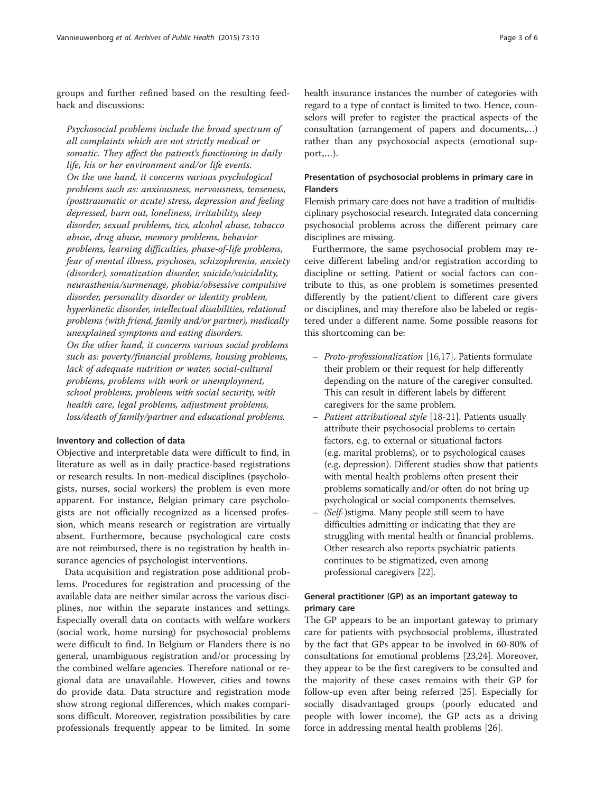groups and further refined based on the resulting feedback and discussions:

Psychosocial problems include the broad spectrum of all complaints which are not strictly medical or somatic. They affect the patient's functioning in daily life, his or her environment and/or life events. On the one hand, it concerns various psychological problems such as: anxiousness, nervousness, tenseness, (posttraumatic or acute) stress, depression and feeling depressed, burn out, loneliness, irritability, sleep disorder, sexual problems, tics, alcohol abuse, tobacco abuse, drug abuse, memory problems, behavior problems, learning difficulties, phase-of-life problems, fear of mental illness, psychoses, schizophrenia, anxiety (disorder), somatization disorder, suicide/suicidality, neurasthenia/surmenage, phobia/obsessive compulsive disorder, personality disorder or identity problem, hyperkinetic disorder, intellectual disabilities, relational problems (with friend, family and/or partner), medically unexplained symptoms and eating disorders. On the other hand, it concerns various social problems such as: poverty/financial problems, housing problems, lack of adequate nutrition or water, social-cultural problems, problems with work or unemployment, school problems, problems with social security, with health care, legal problems, adjustment problems, loss/death of family/partner and educational problems.

#### Inventory and collection of data

Objective and interpretable data were difficult to find, in literature as well as in daily practice-based registrations or research results. In non-medical disciplines (psychologists, nurses, social workers) the problem is even more apparent. For instance, Belgian primary care psychologists are not officially recognized as a licensed profession, which means research or registration are virtually absent. Furthermore, because psychological care costs are not reimbursed, there is no registration by health insurance agencies of psychologist interventions.

Data acquisition and registration pose additional problems. Procedures for registration and processing of the available data are neither similar across the various disciplines, nor within the separate instances and settings. Especially overall data on contacts with welfare workers (social work, home nursing) for psychosocial problems were difficult to find. In Belgium or Flanders there is no general, unambiguous registration and/or processing by the combined welfare agencies. Therefore national or regional data are unavailable. However, cities and towns do provide data. Data structure and registration mode show strong regional differences, which makes comparisons difficult. Moreover, registration possibilities by care professionals frequently appear to be limited. In some health insurance instances the number of categories with regard to a type of contact is limited to two. Hence, counselors will prefer to register the practical aspects of the consultation (arrangement of papers and documents,…) rather than any psychosocial aspects (emotional support,…).

# Presentation of psychosocial problems in primary care in Flanders

Flemish primary care does not have a tradition of multidisciplinary psychosocial research. Integrated data concerning psychosocial problems across the different primary care disciplines are missing.

Furthermore, the same psychosocial problem may receive different labeling and/or registration according to discipline or setting. Patient or social factors can contribute to this, as one problem is sometimes presented differently by the patient/client to different care givers or disciplines, and may therefore also be labeled or registered under a different name. Some possible reasons for this shortcoming can be:

- Proto-professionalization [[16,17](#page-5-0)]. Patients formulate their problem or their request for help differently depending on the nature of the caregiver consulted. This can result in different labels by different caregivers for the same problem.
- Patient attributional style [\[18](#page-5-0)-[21](#page-5-0)]. Patients usually attribute their psychosocial problems to certain factors, e.g. to external or situational factors (e.g. marital problems), or to psychological causes (e.g. depression). Different studies show that patients with mental health problems often present their problems somatically and/or often do not bring up psychological or social components themselves.
- (Self-)stigma. Many people still seem to have difficulties admitting or indicating that they are struggling with mental health or financial problems. Other research also reports psychiatric patients continues to be stigmatized, even among professional caregivers [\[22\]](#page-5-0).

# General practitioner (GP) as an important gateway to primary care

The GP appears to be an important gateway to primary care for patients with psychosocial problems, illustrated by the fact that GPs appear to be involved in 60-80% of consultations for emotional problems [[23](#page-5-0),[24](#page-5-0)]. Moreover, they appear to be the first caregivers to be consulted and the majority of these cases remains with their GP for follow-up even after being referred [\[25](#page-5-0)]. Especially for socially disadvantaged groups (poorly educated and people with lower income), the GP acts as a driving force in addressing mental health problems [\[26](#page-5-0)].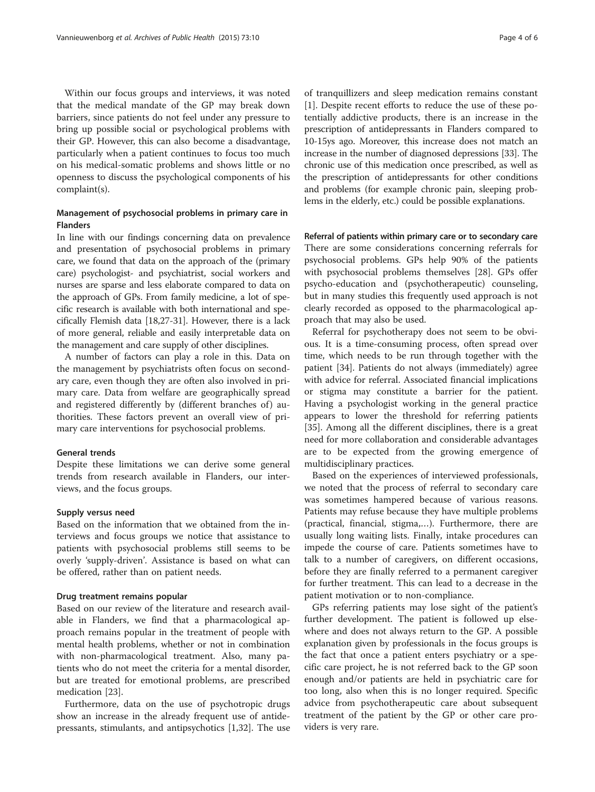Within our focus groups and interviews, it was noted that the medical mandate of the GP may break down barriers, since patients do not feel under any pressure to bring up possible social or psychological problems with their GP. However, this can also become a disadvantage, particularly when a patient continues to focus too much on his medical-somatic problems and shows little or no openness to discuss the psychological components of his complaint(s).

# Management of psychosocial problems in primary care in Flanders

In line with our findings concerning data on prevalence and presentation of psychosocial problems in primary care, we found that data on the approach of the (primary care) psychologist- and psychiatrist, social workers and nurses are sparse and less elaborate compared to data on the approach of GPs. From family medicine, a lot of specific research is available with both international and specifically Flemish data [[18,27-31\]](#page-5-0). However, there is a lack of more general, reliable and easily interpretable data on the management and care supply of other disciplines.

A number of factors can play a role in this. Data on the management by psychiatrists often focus on secondary care, even though they are often also involved in primary care. Data from welfare are geographically spread and registered differently by (different branches of) authorities. These factors prevent an overall view of primary care interventions for psychosocial problems.

# General trends

Despite these limitations we can derive some general trends from research available in Flanders, our interviews, and the focus groups.

#### Supply versus need

Based on the information that we obtained from the interviews and focus groups we notice that assistance to patients with psychosocial problems still seems to be overly 'supply-driven'. Assistance is based on what can be offered, rather than on patient needs.

#### Drug treatment remains popular

Based on our review of the literature and research available in Flanders, we find that a pharmacological approach remains popular in the treatment of people with mental health problems, whether or not in combination with non-pharmacological treatment. Also, many patients who do not meet the criteria for a mental disorder, but are treated for emotional problems, are prescribed medication [\[23](#page-5-0)].

Furthermore, data on the use of psychotropic drugs show an increase in the already frequent use of antidepressants, stimulants, and antipsychotics [[1,32](#page-5-0)]. The use

of tranquillizers and sleep medication remains constant [[1\]](#page-5-0). Despite recent efforts to reduce the use of these potentially addictive products, there is an increase in the prescription of antidepressants in Flanders compared to 10-15ys ago. Moreover, this increase does not match an increase in the number of diagnosed depressions [\[33\]](#page-5-0). The chronic use of this medication once prescribed, as well as the prescription of antidepressants for other conditions and problems (for example chronic pain, sleeping problems in the elderly, etc.) could be possible explanations.

Referral of patients within primary care or to secondary care There are some considerations concerning referrals for psychosocial problems. GPs help 90% of the patients with psychosocial problems themselves [\[28](#page-5-0)]. GPs offer psycho-education and (psychotherapeutic) counseling, but in many studies this frequently used approach is not clearly recorded as opposed to the pharmacological approach that may also be used.

Referral for psychotherapy does not seem to be obvious. It is a time-consuming process, often spread over time, which needs to be run through together with the patient [[34\]](#page-5-0). Patients do not always (immediately) agree with advice for referral. Associated financial implications or stigma may constitute a barrier for the patient. Having a psychologist working in the general practice appears to lower the threshold for referring patients [[35\]](#page-5-0). Among all the different disciplines, there is a great need for more collaboration and considerable advantages are to be expected from the growing emergence of multidisciplinary practices.

Based on the experiences of interviewed professionals, we noted that the process of referral to secondary care was sometimes hampered because of various reasons. Patients may refuse because they have multiple problems (practical, financial, stigma,…). Furthermore, there are usually long waiting lists. Finally, intake procedures can impede the course of care. Patients sometimes have to talk to a number of caregivers, on different occasions, before they are finally referred to a permanent caregiver for further treatment. This can lead to a decrease in the patient motivation or to non-compliance.

GPs referring patients may lose sight of the patient's further development. The patient is followed up elsewhere and does not always return to the GP. A possible explanation given by professionals in the focus groups is the fact that once a patient enters psychiatry or a specific care project, he is not referred back to the GP soon enough and/or patients are held in psychiatric care for too long, also when this is no longer required. Specific advice from psychotherapeutic care about subsequent treatment of the patient by the GP or other care providers is very rare.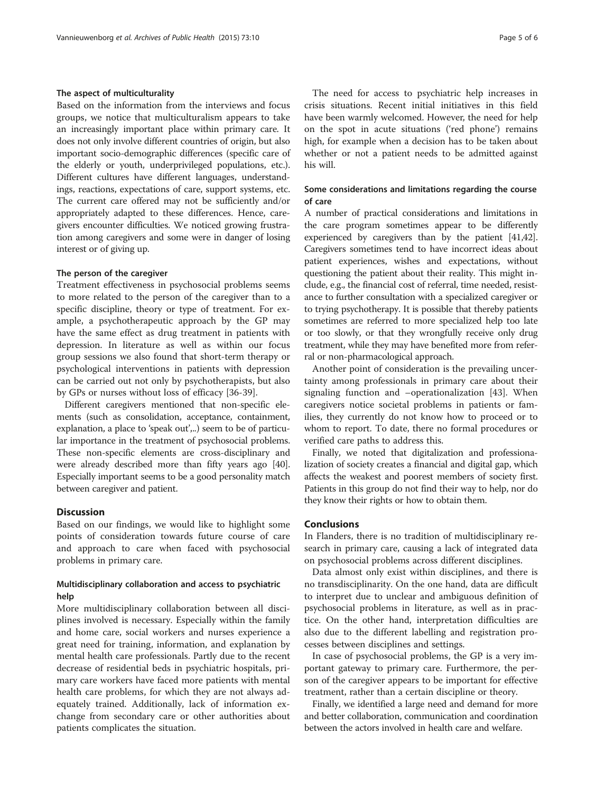#### The aspect of multiculturality

Based on the information from the interviews and focus groups, we notice that multiculturalism appears to take an increasingly important place within primary care. It does not only involve different countries of origin, but also important socio-demographic differences (specific care of the elderly or youth, underprivileged populations, etc.). Different cultures have different languages, understandings, reactions, expectations of care, support systems, etc. The current care offered may not be sufficiently and/or appropriately adapted to these differences. Hence, caregivers encounter difficulties. We noticed growing frustration among caregivers and some were in danger of losing interest or of giving up.

#### The person of the caregiver

Treatment effectiveness in psychosocial problems seems to more related to the person of the caregiver than to a specific discipline, theory or type of treatment. For example, a psychotherapeutic approach by the GP may have the same effect as drug treatment in patients with depression. In literature as well as within our focus group sessions we also found that short-term therapy or psychological interventions in patients with depression can be carried out not only by psychotherapists, but also by GPs or nurses without loss of efficacy [\[36](#page-5-0)-[39\]](#page-5-0).

Different caregivers mentioned that non-specific elements (such as consolidation, acceptance, containment, explanation, a place to 'speak out',..) seem to be of particular importance in the treatment of psychosocial problems. These non-specific elements are cross-disciplinary and were already described more than fifty years ago [[40](#page-5-0)]. Especially important seems to be a good personality match between caregiver and patient.

# **Discussion**

Based on our findings, we would like to highlight some points of consideration towards future course of care and approach to care when faced with psychosocial problems in primary care.

# Multidisciplinary collaboration and access to psychiatric help

More multidisciplinary collaboration between all disciplines involved is necessary. Especially within the family and home care, social workers and nurses experience a great need for training, information, and explanation by mental health care professionals. Partly due to the recent decrease of residential beds in psychiatric hospitals, primary care workers have faced more patients with mental health care problems, for which they are not always adequately trained. Additionally, lack of information exchange from secondary care or other authorities about patients complicates the situation.

The need for access to psychiatric help increases in crisis situations. Recent initial initiatives in this field have been warmly welcomed. However, the need for help on the spot in acute situations ('red phone') remains high, for example when a decision has to be taken about whether or not a patient needs to be admitted against his will.

# Some considerations and limitations regarding the course of care

A number of practical considerations and limitations in the care program sometimes appear to be differently experienced by caregivers than by the patient [\[41,42](#page-5-0)]. Caregivers sometimes tend to have incorrect ideas about patient experiences, wishes and expectations, without questioning the patient about their reality. This might include, e.g., the financial cost of referral, time needed, resistance to further consultation with a specialized caregiver or to trying psychotherapy. It is possible that thereby patients sometimes are referred to more specialized help too late or too slowly, or that they wrongfully receive only drug treatment, while they may have benefited more from referral or non-pharmacological approach.

Another point of consideration is the prevailing uncertainty among professionals in primary care about their signaling function and –operationalization [\[43](#page-5-0)]. When caregivers notice societal problems in patients or families, they currently do not know how to proceed or to whom to report. To date, there no formal procedures or verified care paths to address this.

Finally, we noted that digitalization and professionalization of society creates a financial and digital gap, which affects the weakest and poorest members of society first. Patients in this group do not find their way to help, nor do they know their rights or how to obtain them.

#### Conclusions

In Flanders, there is no tradition of multidisciplinary research in primary care, causing a lack of integrated data on psychosocial problems across different disciplines.

Data almost only exist within disciplines, and there is no transdisciplinarity. On the one hand, data are difficult to interpret due to unclear and ambiguous definition of psychosocial problems in literature, as well as in practice. On the other hand, interpretation difficulties are also due to the different labelling and registration processes between disciplines and settings.

In case of psychosocial problems, the GP is a very important gateway to primary care. Furthermore, the person of the caregiver appears to be important for effective treatment, rather than a certain discipline or theory.

Finally, we identified a large need and demand for more and better collaboration, communication and coordination between the actors involved in health care and welfare.